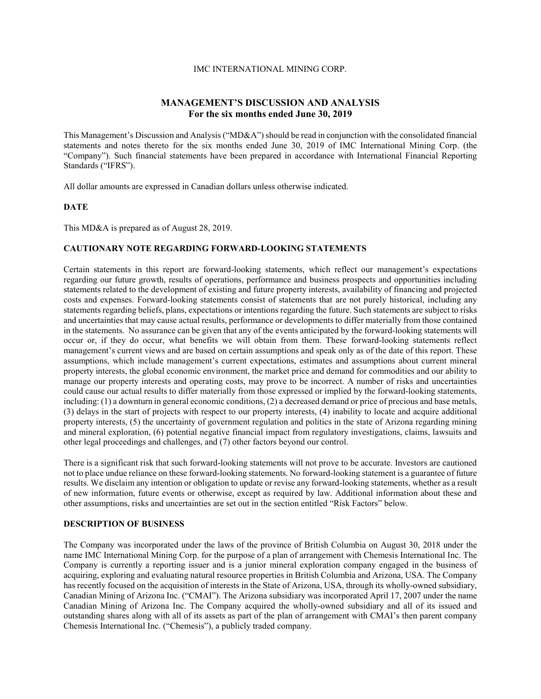## IMC INTERNATIONAL MINING CORP.

# **MANAGEMENT'S DISCUSSION AND ANALYSIS For the six months ended June 30, 2019**

This Management's Discussion and Analysis ("MD&A") should be read in conjunction with the consolidated financial statements and notes thereto for the six months ended June 30, 2019 of IMC International Mining Corp. (the "Company"). Such financial statements have been prepared in accordance with International Financial Reporting Standards ("IFRS").

All dollar amounts are expressed in Canadian dollars unless otherwise indicated.

#### **DATE**

This MD&A is prepared as of August 28, 2019.

### **CAUTIONARY NOTE REGARDING FORWARD-LOOKING STATEMENTS**

Certain statements in this report are forward-looking statements, which reflect our management's expectations regarding our future growth, results of operations, performance and business prospects and opportunities including statements related to the development of existing and future property interests, availability of financing and projected costs and expenses. Forward-looking statements consist of statements that are not purely historical, including any statements regarding beliefs, plans, expectations or intentions regarding the future. Such statements are subject to risks and uncertainties that may cause actual results, performance or developments to differ materially from those contained in the statements. No assurance can be given that any of the events anticipated by the forward-looking statements will occur or, if they do occur, what benefits we will obtain from them. These forward-looking statements reflect management's current views and are based on certain assumptions and speak only as of the date of this report. These assumptions, which include management's current expectations, estimates and assumptions about current mineral property interests, the global economic environment, the market price and demand for commodities and our ability to manage our property interests and operating costs, may prove to be incorrect. A number of risks and uncertainties could cause our actual results to differ materially from those expressed or implied by the forward-looking statements, including: (1) a downturn in general economic conditions, (2) a decreased demand or price of precious and base metals, (3) delays in the start of projects with respect to our property interests, (4) inability to locate and acquire additional property interests, (5) the uncertainty of government regulation and politics in the state of Arizona regarding mining and mineral exploration, (6) potential negative financial impact from regulatory investigations, claims, lawsuits and other legal proceedings and challenges, and (7) other factors beyond our control.

There is a significant risk that such forward-looking statements will not prove to be accurate. Investors are cautioned not to place undue reliance on these forward-looking statements. No forward-looking statement is a guarantee of future results. We disclaim any intention or obligation to update or revise any forward-looking statements, whether as a result of new information, future events or otherwise, except as required by law. Additional information about these and other assumptions, risks and uncertainties are set out in the section entitled "Risk Factors" below.

### **DESCRIPTION OF BUSINESS**

The Company was incorporated under the laws of the province of British Columbia on August 30, 2018 under the name IMC International Mining Corp. for the purpose of a plan of arrangement with Chemesis International Inc. The Company is currently a reporting issuer and is a junior mineral exploration company engaged in the business of acquiring, exploring and evaluating natural resource properties in British Columbia and Arizona, USA. The Company has recently focused on the acquisition of interests in the State of Arizona, USA, through its wholly-owned subsidiary, Canadian Mining of Arizona Inc. ("CMAI"). The Arizona subsidiary was incorporated April 17, 2007 under the name Canadian Mining of Arizona Inc. The Company acquired the wholly-owned subsidiary and all of its issued and outstanding shares along with all of its assets as part of the plan of arrangement with CMAI's then parent company Chemesis International Inc. ("Chemesis"), a publicly traded company.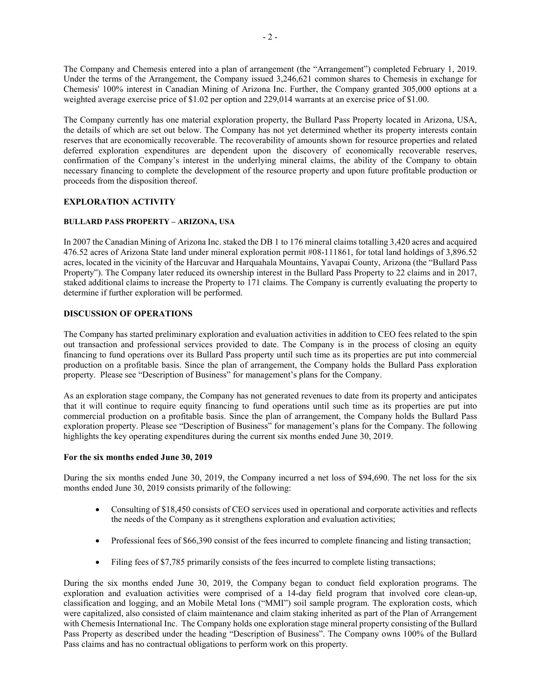The Company and Chemesis entered into a plan of arrangement (the "Arrangement") completed February 1, 2019. Under the terms of the Arrangement, the Company issued 3,246,621 common shares to Chemesis in exchange for Chemesis' 100% interest in Canadian Mining of Arizona Inc. Further, the Company granted 305,000 options at a weighted average exercise price of \$1.02 per option and 229,014 warrants at an exercise price of \$1.00.

The Company currently has one material exploration property, the Bullard Pass Property located in Arizona, USA, the details of which are set out below. The Company has not yet determined whether its property interests contain reserves that are economically recoverable. The recoverability of amounts shown for resource properties and related deferred exploration expenditures are dependent upon the discovery of economically recoverable reserves, confirmation of the Company's interest in the underlying mineral claims, the ability of the Company to obtain necessary financing to complete the development of the resource property and upon future profitable production or proceeds from the disposition thereof.

# **EXPLORATION ACTIVITY**

# **BULLARD PASS PROPERTY – ARIZONA, USA**

In 2007 the Canadian Mining of Arizona Inc. staked the DB 1 to 176 mineral claims totalling 3,420 acres and acquired 476.52 acres of Arizona State land under mineral exploration permit #08-111861, for total land holdings of 3,896.52 acres, located in the vicinity of the Harcuvar and Harquahala Mountains, Yavapai County, Arizona (the "Bullard Pass Property"). The Company later reduced its ownership interest in the Bullard Pass Property to 22 claims and in 2017, staked additional claims to increase the Property to 171 claims. The Company is currently evaluating the property to determine if further exploration will be performed.

# **DISCUSSION OF OPERATIONS**

The Company has started preliminary exploration and evaluation activities in addition to CEO fees related to the spin out transaction and professional services provided to date. The Company is in the process of closing an equity financing to fund operations over its Bullard Pass property until such time as its properties are put into commercial production on a profitable basis. Since the plan of arrangement, the Company holds the Bullard Pass exploration property. Please see "Description of Business" for management's plans for the Company.

As an exploration stage company, the Company has not generated revenues to date from its property and anticipates that it will continue to require equity financing to fund operations until such time as its properties are put into commercial production on a profitable basis. Since the plan of arrangement, the Company holds the Bullard Pass exploration property. Please see "Description of Business" for management's plans for the Company. The following highlights the key operating expenditures during the current six months ended June 30, 2019.

# **For the six months ended June 30, 2019**

During the six months ended June 30, 2019, the Company incurred a net loss of \$94,690. The net loss for the six months ended June 30, 2019 consists primarily of the following:

- Consulting of \$18,450 consists of CEO services used in operational and corporate activities and reflects the needs of the Company as it strengthens exploration and evaluation activities;
- Professional fees of \$66,390 consist of the fees incurred to complete financing and listing transaction;
- Filing fees of \$7,785 primarily consists of the fees incurred to complete listing transactions;

During the six months ended June 30, 2019, the Company began to conduct field exploration programs. The exploration and evaluation activities were comprised of a 14-day field program that involved core clean-up, classification and logging, and an Mobile Metal Ions ("MMI") soil sample program. The exploration costs, which were capitalized, also consisted of claim maintenance and claim staking inherited as part of the Plan of Arrangement with Chemesis International Inc. The Company holds one exploration stage mineral property consisting of the Bullard Pass Property as described under the heading "Description of Business". The Company owns 100% of the Bullard Pass claims and has no contractual obligations to perform work on this property.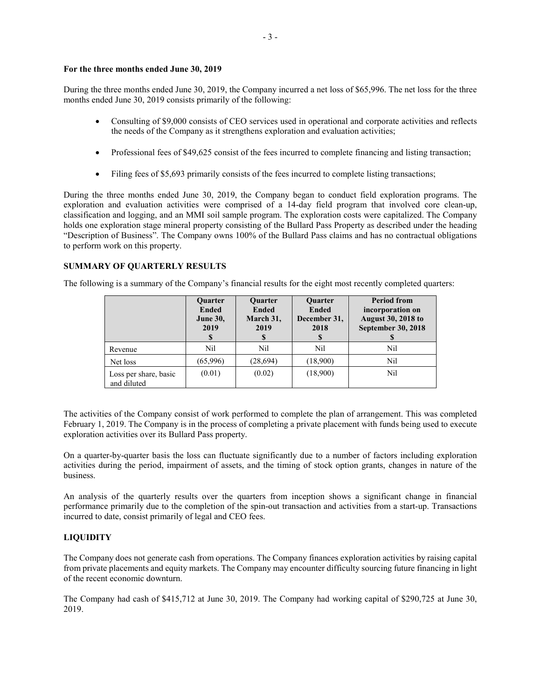# **For the three months ended June 30, 2019**

During the three months ended June 30, 2019, the Company incurred a net loss of \$65,996. The net loss for the three months ended June 30, 2019 consists primarily of the following:

- Consulting of \$9,000 consists of CEO services used in operational and corporate activities and reflects the needs of the Company as it strengthens exploration and evaluation activities;
- Professional fees of \$49,625 consist of the fees incurred to complete financing and listing transaction;
- Filing fees of \$5,693 primarily consists of the fees incurred to complete listing transactions;

During the three months ended June 30, 2019, the Company began to conduct field exploration programs. The exploration and evaluation activities were comprised of a 14-day field program that involved core clean-up, classification and logging, and an MMI soil sample program. The exploration costs were capitalized. The Company holds one exploration stage mineral property consisting of the Bullard Pass Property as described under the heading "Description of Business". The Company owns 100% of the Bullard Pass claims and has no contractual obligations to perform work on this property.

# **SUMMARY OF QUARTERLY RESULTS**

The following is a summary of the Company's financial results for the eight most recently completed quarters:

|                                      | <b>Ouarter</b><br><b>Ended</b><br><b>June 30,</b><br>2019<br>S | <b>Ouarter</b><br><b>Ended</b><br>March 31,<br>2019<br>\$ | <b>Ouarter</b><br><b>Ended</b><br>December 31,<br>2018<br><b>S</b> | <b>Period from</b><br>incorporation on<br><b>August 30, 2018 to</b><br><b>September 30, 2018</b> |
|--------------------------------------|----------------------------------------------------------------|-----------------------------------------------------------|--------------------------------------------------------------------|--------------------------------------------------------------------------------------------------|
| Revenue                              | Nil                                                            | Nil                                                       | Nil                                                                | Nil                                                                                              |
| Net loss                             | (65,996)                                                       | (28,694)                                                  | (18,900)                                                           | Nil                                                                                              |
| Loss per share, basic<br>and diluted | (0.01)                                                         | (0.02)                                                    | (18,900)                                                           | Nil                                                                                              |

The activities of the Company consist of work performed to complete the plan of arrangement. This was completed February 1, 2019. The Company is in the process of completing a private placement with funds being used to execute exploration activities over its Bullard Pass property.

On a quarter-by-quarter basis the loss can fluctuate significantly due to a number of factors including exploration activities during the period, impairment of assets, and the timing of stock option grants, changes in nature of the business.

An analysis of the quarterly results over the quarters from inception shows a significant change in financial performance primarily due to the completion of the spin-out transaction and activities from a start-up. Transactions incurred to date, consist primarily of legal and CEO fees.

# **LIQUIDITY**

The Company does not generate cash from operations. The Company finances exploration activities by raising capital from private placements and equity markets. The Company may encounter difficulty sourcing future financing in light of the recent economic downturn.

The Company had cash of \$415,712 at June 30, 2019. The Company had working capital of \$290,725 at June 30, 2019.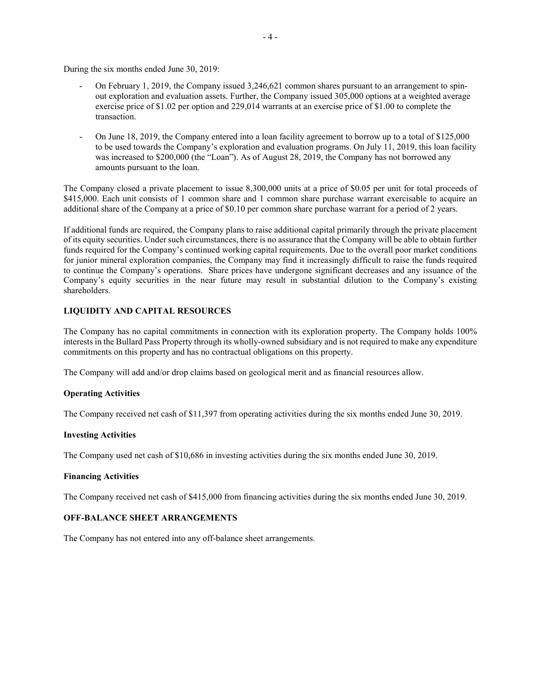During the six months ended June 30, 2019:

- On February 1, 2019, the Company issued 3,246,621 common shares pursuant to an arrangement to spinout exploration and evaluation assets. Further, the Company issued 305,000 options at a weighted average exercise price of \$1.02 per option and 229,014 warrants at an exercise price of \$1.00 to complete the transaction.
- On June 18, 2019, the Company entered into a loan facility agreement to borrow up to a total of \$125,000 to be used towards the Company's exploration and evaluation programs. On July 11, 2019, this loan facility was increased to \$200,000 (the "Loan"). As of August 28, 2019, the Company has not borrowed any amounts pursuant to the loan.

The Company closed a private placement to issue 8,300,000 units at a price of \$0.05 per unit for total proceeds of \$415,000. Each unit consists of 1 common share and 1 common share purchase warrant exercisable to acquire an additional share of the Company at a price of \$0.10 per common share purchase warrant for a period of 2 years.

If additional funds are required, the Company plans to raise additional capital primarily through the private placement of its equity securities. Under such circumstances, there is no assurance that the Company will be able to obtain further funds required for the Company's continued working capital requirements. Due to the overall poor market conditions for junior mineral exploration companies, the Company may find it increasingly difficult to raise the funds required to continue the Company's operations. Share prices have undergone significant decreases and any issuance of the Company's equity securities in the near future may result in substantial dilution to the Company's existing shareholders.

# **LIQUIDITY AND CAPITAL RESOURCES**

The Company has no capital commitments in connection with its exploration property. The Company holds 100% interests in the Bullard Pass Property through its wholly-owned subsidiary and is not required to make any expenditure commitments on this property and has no contractual obligations on this property.

The Company will add and/or drop claims based on geological merit and as financial resources allow.

# **Operating Activities**

The Company received net cash of \$11,397 from operating activities during the six months ended June 30, 2019.

### **Investing Activities**

The Company used net cash of \$10,686 in investing activities during the six months ended June 30, 2019.

### **Financing Activities**

The Company received net cash of \$415,000 from financing activities during the six months ended June 30, 2019.

# **OFF-BALANCE SHEET ARRANGEMENTS**

The Company has not entered into any off-balance sheet arrangements.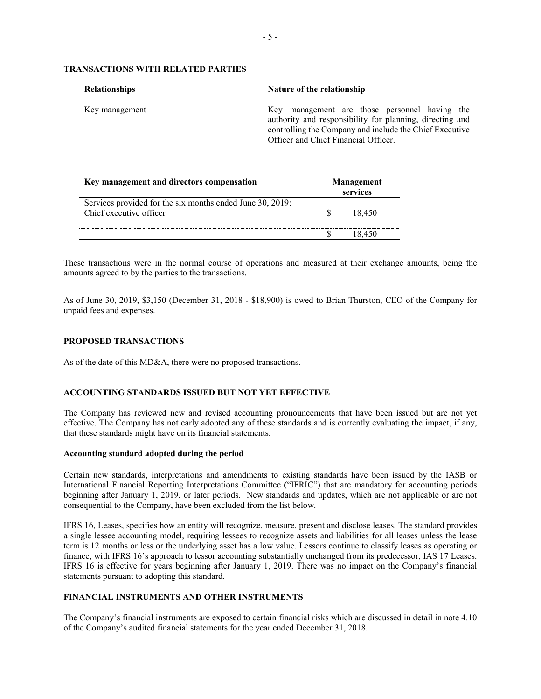# **TRANSACTIONS WITH RELATED PARTIES**

| <b>Relationships</b> | Nature of the relationship                                                                                                                                                                                   |  |  |  |  |
|----------------------|--------------------------------------------------------------------------------------------------------------------------------------------------------------------------------------------------------------|--|--|--|--|
| Key management       | Key management are those personnel having the<br>authority and responsibility for planning, directing and<br>controlling the Company and include the Chief Executive<br>Officer and Chief Financial Officer. |  |  |  |  |

| Key management and directors compensation                                            | Management<br>services |        |  |
|--------------------------------------------------------------------------------------|------------------------|--------|--|
| Services provided for the six months ended June 30, 2019:<br>Chief executive officer |                        | 18.450 |  |
|                                                                                      |                        |        |  |

These transactions were in the normal course of operations and measured at their exchange amounts, being the amounts agreed to by the parties to the transactions.

As of June 30, 2019, \$3,150 (December 31, 2018 - \$18,900) is owed to Brian Thurston, CEO of the Company for unpaid fees and expenses.

### **PROPOSED TRANSACTIONS**

As of the date of this MD&A, there were no proposed transactions.

### **ACCOUNTING STANDARDS ISSUED BUT NOT YET EFFECTIVE**

The Company has reviewed new and revised accounting pronouncements that have been issued but are not yet effective. The Company has not early adopted any of these standards and is currently evaluating the impact, if any, that these standards might have on its financial statements.

#### **Accounting standard adopted during the period**

Certain new standards, interpretations and amendments to existing standards have been issued by the IASB or International Financial Reporting Interpretations Committee ("IFRIC") that are mandatory for accounting periods beginning after January 1, 2019, or later periods. New standards and updates, which are not applicable or are not consequential to the Company, have been excluded from the list below.

IFRS 16, Leases, specifies how an entity will recognize, measure, present and disclose leases. The standard provides a single lessee accounting model, requiring lessees to recognize assets and liabilities for all leases unless the lease term is 12 months or less or the underlying asset has a low value. Lessors continue to classify leases as operating or finance, with IFRS 16's approach to lessor accounting substantially unchanged from its predecessor, IAS 17 Leases. IFRS 16 is effective for years beginning after January 1, 2019. There was no impact on the Company's financial statements pursuant to adopting this standard.

## **FINANCIAL INSTRUMENTS AND OTHER INSTRUMENTS**

The Company's financial instruments are exposed to certain financial risks which are discussed in detail in note 4.10 of the Company's audited financial statements for the year ended December 31, 2018.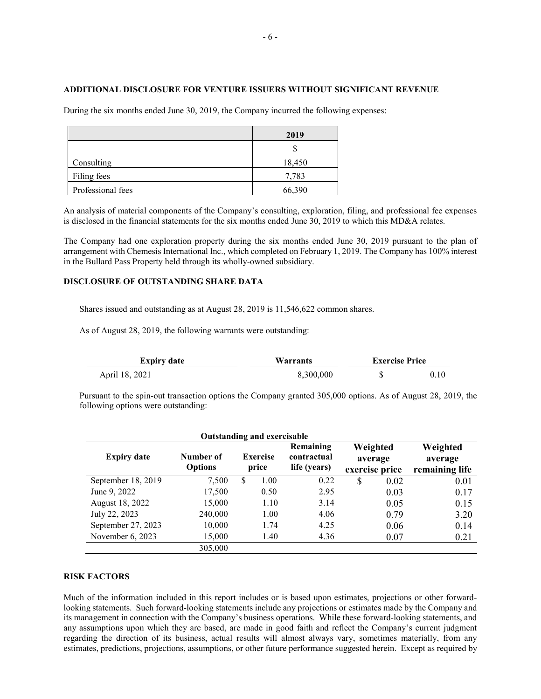### **ADDITIONAL DISCLOSURE FOR VENTURE ISSUERS WITHOUT SIGNIFICANT REVENUE**

During the six months ended June 30, 2019, the Company incurred the following expenses:

|                   | 2019   |
|-------------------|--------|
|                   |        |
| Consulting        | 18,450 |
| Filing fees       | 7,783  |
| Professional fees | 66,390 |

An analysis of material components of the Company's consulting, exploration, filing, and professional fee expenses is disclosed in the financial statements for the six months ended June 30, 2019 to which this MD&A relates.

The Company had one exploration property during the six months ended June 30, 2019 pursuant to the plan of arrangement with Chemesis International Inc., which completed on February 1, 2019. The Company has 100% interest in the Bullard Pass Property held through its wholly-owned subsidiary.

### **DISCLOSURE OF OUTSTANDING SHARE DATA**

Shares issued and outstanding as at August 28, 2019 is 11,546,622 common shares.

As of August 28, 2019, the following warrants were outstanding:

| Expiry date    | Warrants  | <b>Exercise Price</b> |  |  |
|----------------|-----------|-----------------------|--|--|
| April 18, 2021 | 8.300.000 | - 12                  |  |  |

Pursuant to the spin-out transaction options the Company granted 305,000 options. As of August 28, 2019, the following options were outstanding:

| <b>Outstanding and exercisable</b> |                             |   |                          |                                          |                                       |      |                                       |
|------------------------------------|-----------------------------|---|--------------------------|------------------------------------------|---------------------------------------|------|---------------------------------------|
| <b>Expiry date</b>                 | Number of<br><b>Options</b> |   | <b>Exercise</b><br>price | Remaining<br>contractual<br>life (years) | Weighted<br>average<br>exercise price |      | Weighted<br>average<br>remaining life |
| September 18, 2019                 | 7,500                       | S | 1.00                     | 0.22                                     | \$                                    | 0.02 | 0.01                                  |
| June 9, 2022                       | 17,500                      |   | 0.50                     | 2.95                                     |                                       | 0.03 | 0.17                                  |
| August 18, 2022                    | 15,000                      |   | 1.10                     | 3.14                                     |                                       | 0.05 | 0.15                                  |
| July 22, 2023                      | 240,000                     |   | 1.00                     | 4.06                                     |                                       | 0.79 | 3.20                                  |
| September 27, 2023                 | 10,000                      |   | 1.74                     | 4.25                                     |                                       | 0.06 | 0.14                                  |
| November 6, 2023                   | 15,000                      |   | 1.40                     | 4.36                                     |                                       | 0.07 | 0.21                                  |
|                                    | 305,000                     |   |                          |                                          |                                       |      |                                       |

#### **RISK FACTORS**

Much of the information included in this report includes or is based upon estimates, projections or other forwardlooking statements. Such forward-looking statements include any projections or estimates made by the Company and its management in connection with the Company's business operations. While these forward-looking statements, and any assumptions upon which they are based, are made in good faith and reflect the Company's current judgment regarding the direction of its business, actual results will almost always vary, sometimes materially, from any estimates, predictions, projections, assumptions, or other future performance suggested herein. Except as required by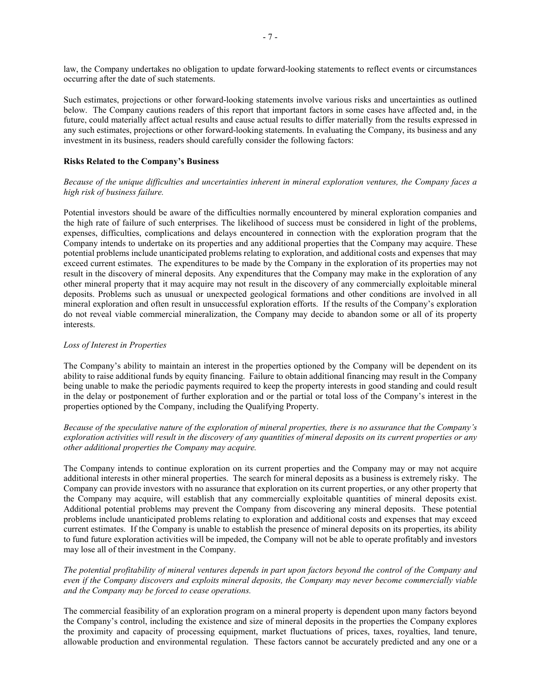law, the Company undertakes no obligation to update forward-looking statements to reflect events or circumstances occurring after the date of such statements.

Such estimates, projections or other forward-looking statements involve various risks and uncertainties as outlined below. The Company cautions readers of this report that important factors in some cases have affected and, in the future, could materially affect actual results and cause actual results to differ materially from the results expressed in any such estimates, projections or other forward-looking statements. In evaluating the Company, its business and any investment in its business, readers should carefully consider the following factors:

### **Risks Related to the Company's Business**

*Because of the unique difficulties and uncertainties inherent in mineral exploration ventures, the Company faces a high risk of business failure.*

Potential investors should be aware of the difficulties normally encountered by mineral exploration companies and the high rate of failure of such enterprises. The likelihood of success must be considered in light of the problems, expenses, difficulties, complications and delays encountered in connection with the exploration program that the Company intends to undertake on its properties and any additional properties that the Company may acquire. These potential problems include unanticipated problems relating to exploration, and additional costs and expenses that may exceed current estimates. The expenditures to be made by the Company in the exploration of its properties may not result in the discovery of mineral deposits. Any expenditures that the Company may make in the exploration of any other mineral property that it may acquire may not result in the discovery of any commercially exploitable mineral deposits. Problems such as unusual or unexpected geological formations and other conditions are involved in all mineral exploration and often result in unsuccessful exploration efforts. If the results of the Company's exploration do not reveal viable commercial mineralization, the Company may decide to abandon some or all of its property interests.

#### *Loss of Interest in Properties*

The Company's ability to maintain an interest in the properties optioned by the Company will be dependent on its ability to raise additional funds by equity financing. Failure to obtain additional financing may result in the Company being unable to make the periodic payments required to keep the property interests in good standing and could result in the delay or postponement of further exploration and or the partial or total loss of the Company's interest in the properties optioned by the Company, including the Qualifying Property.

*Because of the speculative nature of the exploration of mineral properties, there is no assurance that the Company's exploration activities will result in the discovery of any quantities of mineral deposits on its current properties or any other additional properties the Company may acquire.*

The Company intends to continue exploration on its current properties and the Company may or may not acquire additional interests in other mineral properties. The search for mineral deposits as a business is extremely risky. The Company can provide investors with no assurance that exploration on its current properties, or any other property that the Company may acquire, will establish that any commercially exploitable quantities of mineral deposits exist. Additional potential problems may prevent the Company from discovering any mineral deposits. These potential problems include unanticipated problems relating to exploration and additional costs and expenses that may exceed current estimates. If the Company is unable to establish the presence of mineral deposits on its properties, its ability to fund future exploration activities will be impeded, the Company will not be able to operate profitably and investors may lose all of their investment in the Company.

*The potential profitability of mineral ventures depends in part upon factors beyond the control of the Company and even if the Company discovers and exploits mineral deposits, the Company may never become commercially viable and the Company may be forced to cease operations.*

The commercial feasibility of an exploration program on a mineral property is dependent upon many factors beyond the Company's control, including the existence and size of mineral deposits in the properties the Company explores the proximity and capacity of processing equipment, market fluctuations of prices, taxes, royalties, land tenure, allowable production and environmental regulation. These factors cannot be accurately predicted and any one or a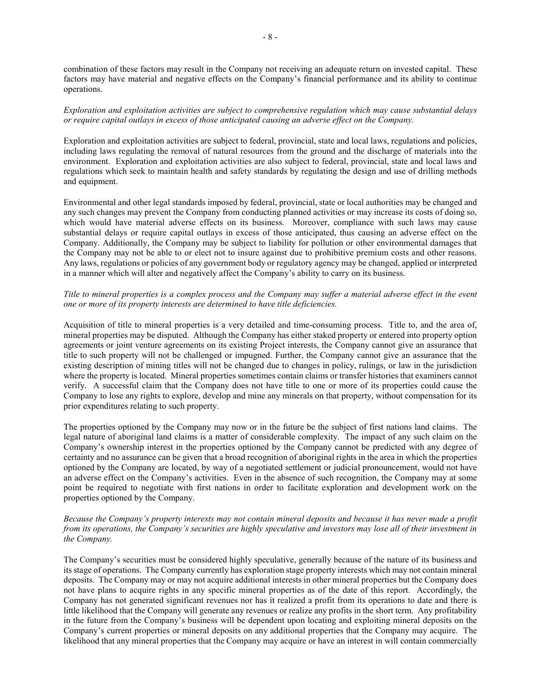combination of these factors may result in the Company not receiving an adequate return on invested capital. These factors may have material and negative effects on the Company's financial performance and its ability to continue operations.

# *Exploration and exploitation activities are subject to comprehensive regulation which may cause substantial delays or require capital outlays in excess of those anticipated causing an adverse effect on the Company.*

Exploration and exploitation activities are subject to federal, provincial, state and local laws, regulations and policies, including laws regulating the removal of natural resources from the ground and the discharge of materials into the environment. Exploration and exploitation activities are also subject to federal, provincial, state and local laws and regulations which seek to maintain health and safety standards by regulating the design and use of drilling methods and equipment.

Environmental and other legal standards imposed by federal, provincial, state or local authorities may be changed and any such changes may prevent the Company from conducting planned activities or may increase its costs of doing so, which would have material adverse effects on its business. Moreover, compliance with such laws may cause substantial delays or require capital outlays in excess of those anticipated, thus causing an adverse effect on the Company. Additionally, the Company may be subject to liability for pollution or other environmental damages that the Company may not be able to or elect not to insure against due to prohibitive premium costs and other reasons. Any laws, regulations or policies of any government body or regulatory agency may be changed, applied or interpreted in a manner which will alter and negatively affect the Company's ability to carry on its business.

# *Title to mineral properties is a complex process and the Company may suffer a material adverse effect in the event one or more of its property interests are determined to have title deficiencies.*

Acquisition of title to mineral properties is a very detailed and time-consuming process. Title to, and the area of, mineral properties may be disputed. Although the Company has either staked property or entered into property option agreements or joint venture agreements on its existing Project interests, the Company cannot give an assurance that title to such property will not be challenged or impugned. Further, the Company cannot give an assurance that the existing description of mining titles will not be changed due to changes in policy, rulings, or law in the jurisdiction where the property is located. Mineral properties sometimes contain claims or transfer histories that examiners cannot verify. A successful claim that the Company does not have title to one or more of its properties could cause the Company to lose any rights to explore, develop and mine any minerals on that property, without compensation for its prior expenditures relating to such property.

The properties optioned by the Company may now or in the future be the subject of first nations land claims. The legal nature of aboriginal land claims is a matter of considerable complexity. The impact of any such claim on the Company's ownership interest in the properties optioned by the Company cannot be predicted with any degree of certainty and no assurance can be given that a broad recognition of aboriginal rights in the area in which the properties optioned by the Company are located, by way of a negotiated settlement or judicial pronouncement, would not have an adverse effect on the Company's activities. Even in the absence of such recognition, the Company may at some point be required to negotiate with first nations in order to facilitate exploration and development work on the properties optioned by the Company.

# *Because the Company's property interests may not contain mineral deposits and because it has never made a profit from its operations, the Company's securities are highly speculative and investors may lose all of their investment in the Company.*

The Company's securities must be considered highly speculative, generally because of the nature of its business and its stage of operations. The Company currently has exploration stage property interests which may not contain mineral deposits. The Company may or may not acquire additional interests in other mineral properties but the Company does not have plans to acquire rights in any specific mineral properties as of the date of this report. Accordingly, the Company has not generated significant revenues nor has it realized a profit from its operations to date and there is little likelihood that the Company will generate any revenues or realize any profits in the short term. Any profitability in the future from the Company's business will be dependent upon locating and exploiting mineral deposits on the Company's current properties or mineral deposits on any additional properties that the Company may acquire. The likelihood that any mineral properties that the Company may acquire or have an interest in will contain commercially